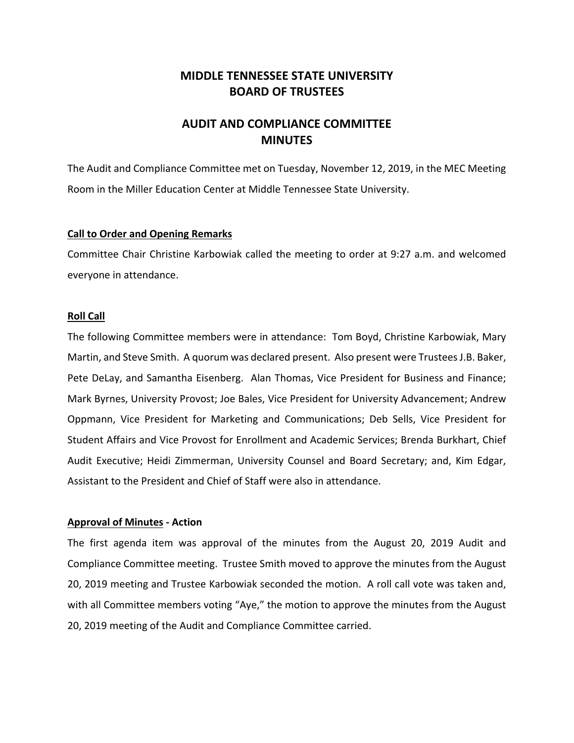# **MIDDLE TENNESSEE STATE UNIVERSITY BOARD OF TRUSTEES**

# **AUDIT AND COMPLIANCE COMMITTEE MINUTES**

The Audit and Compliance Committee met on Tuesday, November 12, 2019, in the MEC Meeting Room in the Miller Education Center at Middle Tennessee State University.

### **Call to Order and Opening Remarks**

Committee Chair Christine Karbowiak called the meeting to order at 9:27 a.m. and welcomed everyone in attendance.

#### **Roll Call**

The following Committee members were in attendance: Tom Boyd, Christine Karbowiak, Mary Martin, and Steve Smith. A quorum was declared present. Also present were Trustees J.B. Baker, Pete DeLay, and Samantha Eisenberg. Alan Thomas, Vice President for Business and Finance; Mark Byrnes, University Provost; Joe Bales, Vice President for University Advancement; Andrew Oppmann, Vice President for Marketing and Communications; Deb Sells, Vice President for Student Affairs and Vice Provost for Enrollment and Academic Services; Brenda Burkhart, Chief Audit Executive; Heidi Zimmerman, University Counsel and Board Secretary; and, Kim Edgar, Assistant to the President and Chief of Staff were also in attendance.

### **Approval of Minutes ‐ Action**

The first agenda item was approval of the minutes from the August 20, 2019 Audit and Compliance Committee meeting. Trustee Smith moved to approve the minutes from the August 20, 2019 meeting and Trustee Karbowiak seconded the motion. A roll call vote was taken and, with all Committee members voting "Aye," the motion to approve the minutes from the August 20, 2019 meeting of the Audit and Compliance Committee carried.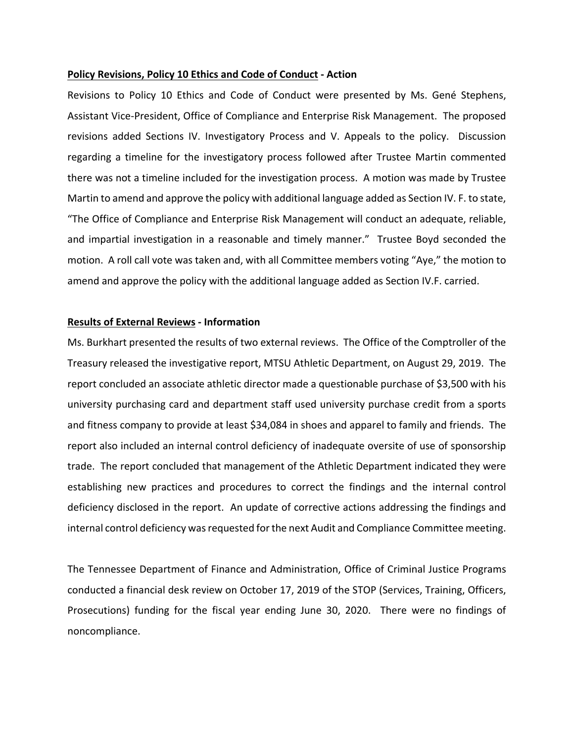#### **Policy Revisions, Policy 10 Ethics and Code of Conduct ‐ Action**

Revisions to Policy 10 Ethics and Code of Conduct were presented by Ms. Gené Stephens, Assistant Vice‐President, Office of Compliance and Enterprise Risk Management. The proposed revisions added Sections IV. Investigatory Process and V. Appeals to the policy. Discussion regarding a timeline for the investigatory process followed after Trustee Martin commented there was not a timeline included for the investigation process. A motion was made by Trustee Martin to amend and approve the policy with additional language added as Section IV. F. to state, "The Office of Compliance and Enterprise Risk Management will conduct an adequate, reliable, and impartial investigation in a reasonable and timely manner." Trustee Boyd seconded the motion. A roll call vote was taken and, with all Committee members voting "Aye," the motion to amend and approve the policy with the additional language added as Section IV.F. carried.

### **Results of External Reviews ‐ Information**

Ms. Burkhart presented the results of two external reviews. The Office of the Comptroller of the Treasury released the investigative report, MTSU Athletic Department, on August 29, 2019. The report concluded an associate athletic director made a questionable purchase of \$3,500 with his university purchasing card and department staff used university purchase credit from a sports and fitness company to provide at least \$34,084 in shoes and apparel to family and friends. The report also included an internal control deficiency of inadequate oversite of use of sponsorship trade. The report concluded that management of the Athletic Department indicated they were establishing new practices and procedures to correct the findings and the internal control deficiency disclosed in the report. An update of corrective actions addressing the findings and internal control deficiency was requested for the next Audit and Compliance Committee meeting.

The Tennessee Department of Finance and Administration, Office of Criminal Justice Programs conducted a financial desk review on October 17, 2019 of the STOP (Services, Training, Officers, Prosecutions) funding for the fiscal year ending June 30, 2020. There were no findings of noncompliance.